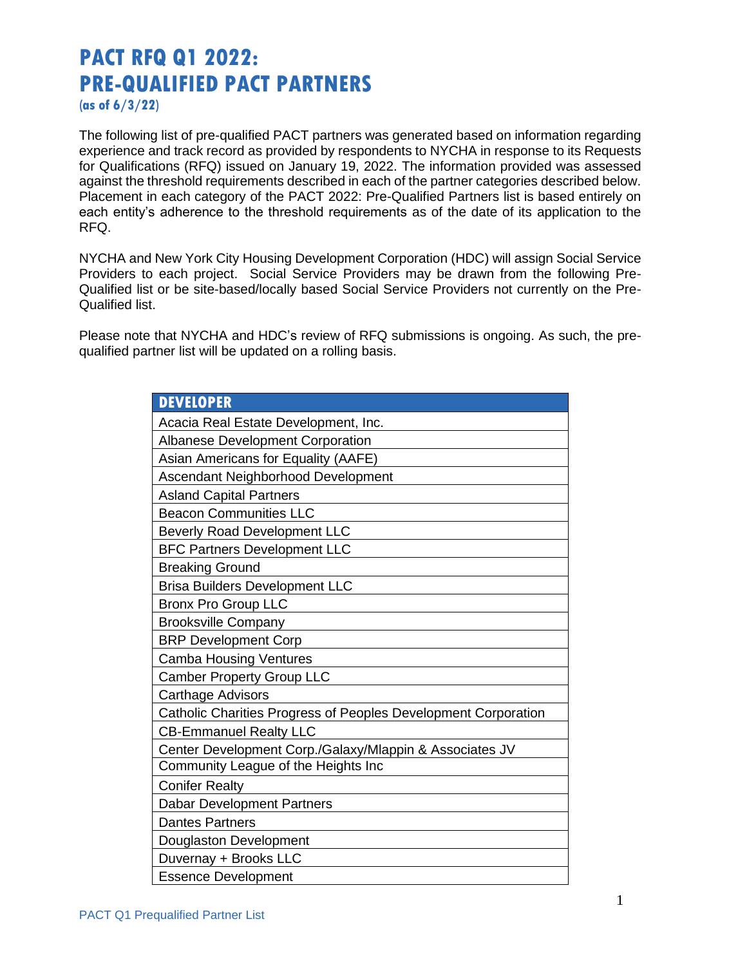## **PACT RFQ Q1 2022: PRE-QUALIFIED PACT PARTNERS**

**(as of 6/3/22)**

The following list of pre-qualified PACT partners was generated based on information regarding experience and track record as provided by respondents to NYCHA in response to its Requests for Qualifications (RFQ) issued on January 19, 2022. The information provided was assessed against the threshold requirements described in each of the partner categories described below. Placement in each category of the PACT 2022: Pre-Qualified Partners list is based entirely on each entity's adherence to the threshold requirements as of the date of its application to the RFQ.

NYCHA and New York City Housing Development Corporation (HDC) will assign Social Service Providers to each project. Social Service Providers may be drawn from the following Pre-Qualified list or be site-based/locally based Social Service Providers not currently on the Pre-Qualified list.

Please note that NYCHA and HDC's review of RFQ submissions is ongoing. As such, the prequalified partner list will be updated on a rolling basis.

| <b>DEVELOPER</b>                                               |
|----------------------------------------------------------------|
| Acacia Real Estate Development, Inc.                           |
| <b>Albanese Development Corporation</b>                        |
| Asian Americans for Equality (AAFE)                            |
| Ascendant Neighborhood Development                             |
| <b>Asland Capital Partners</b>                                 |
| <b>Beacon Communities LLC</b>                                  |
| <b>Beverly Road Development LLC</b>                            |
| <b>BFC Partners Development LLC</b>                            |
| <b>Breaking Ground</b>                                         |
| <b>Brisa Builders Development LLC</b>                          |
| <b>Bronx Pro Group LLC</b>                                     |
| <b>Brooksville Company</b>                                     |
| <b>BRP Development Corp</b>                                    |
| <b>Camba Housing Ventures</b>                                  |
| <b>Camber Property Group LLC</b>                               |
| <b>Carthage Advisors</b>                                       |
| Catholic Charities Progress of Peoples Development Corporation |
| <b>CB-Emmanuel Realty LLC</b>                                  |
| Center Development Corp./Galaxy/Mlappin & Associates JV        |
| Community League of the Heights Inc                            |
| <b>Conifer Realty</b>                                          |
| <b>Dabar Development Partners</b>                              |
| <b>Dantes Partners</b>                                         |
| Douglaston Development                                         |
| Duvernay + Brooks LLC                                          |
| <b>Essence Development</b>                                     |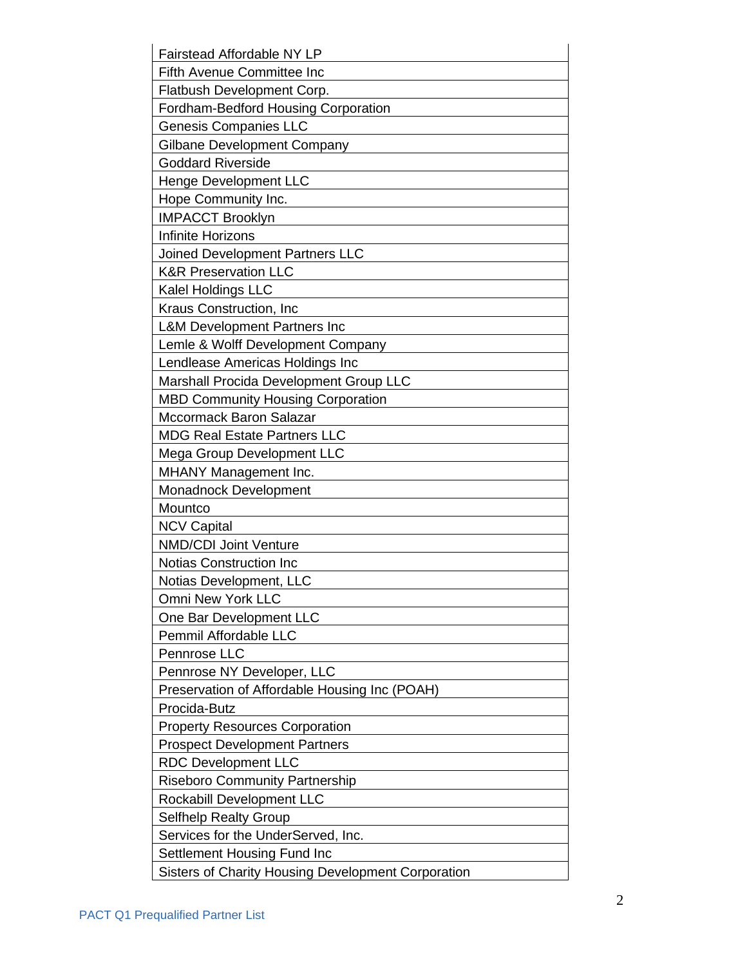| <b>Fairstead Affordable NY LP</b>                  |
|----------------------------------------------------|
| <b>Fifth Avenue Committee Inc</b>                  |
| Flatbush Development Corp.                         |
| <b>Fordham-Bedford Housing Corporation</b>         |
| <b>Genesis Companies LLC</b>                       |
| Gilbane Development Company                        |
| <b>Goddard Riverside</b>                           |
| <b>Henge Development LLC</b>                       |
| Hope Community Inc.                                |
| <b>IMPACCT Brooklyn</b>                            |
| Infinite Horizons                                  |
| Joined Development Partners LLC                    |
| <b>K&amp;R Preservation LLC</b>                    |
| Kalel Holdings LLC                                 |
| Kraus Construction, Inc                            |
| <b>L&amp;M Development Partners Inc</b>            |
| Lemle & Wolff Development Company                  |
| Lendlease Americas Holdings Inc                    |
| Marshall Procida Development Group LLC             |
| <b>MBD Community Housing Corporation</b>           |
| Mccormack Baron Salazar                            |
| <b>MDG Real Estate Partners LLC</b>                |
| <b>Mega Group Development LLC</b>                  |
| <b>MHANY Management Inc.</b>                       |
| Monadnock Development                              |
| Mountco                                            |
| <b>NCV Capital</b>                                 |
| <b>NMD/CDI Joint Venture</b>                       |
| <b>Notias Construction Inc</b>                     |
| Notias Development, LLC                            |
| <b>Omni New York LLC</b>                           |
| One Bar Development LLC                            |
| <b>Pemmil Affordable LLC</b>                       |
| Pennrose LLC                                       |
| Pennrose NY Developer, LLC                         |
| Preservation of Affordable Housing Inc (POAH)      |
| Procida-Butz                                       |
| <b>Property Resources Corporation</b>              |
| <b>Prospect Development Partners</b>               |
| <b>RDC Development LLC</b>                         |
| <b>Riseboro Community Partnership</b>              |
| Rockabill Development LLC                          |
| <b>Selfhelp Realty Group</b>                       |
| Services for the UnderServed, Inc.                 |
| Settlement Housing Fund Inc                        |
| Sisters of Charity Housing Development Corporation |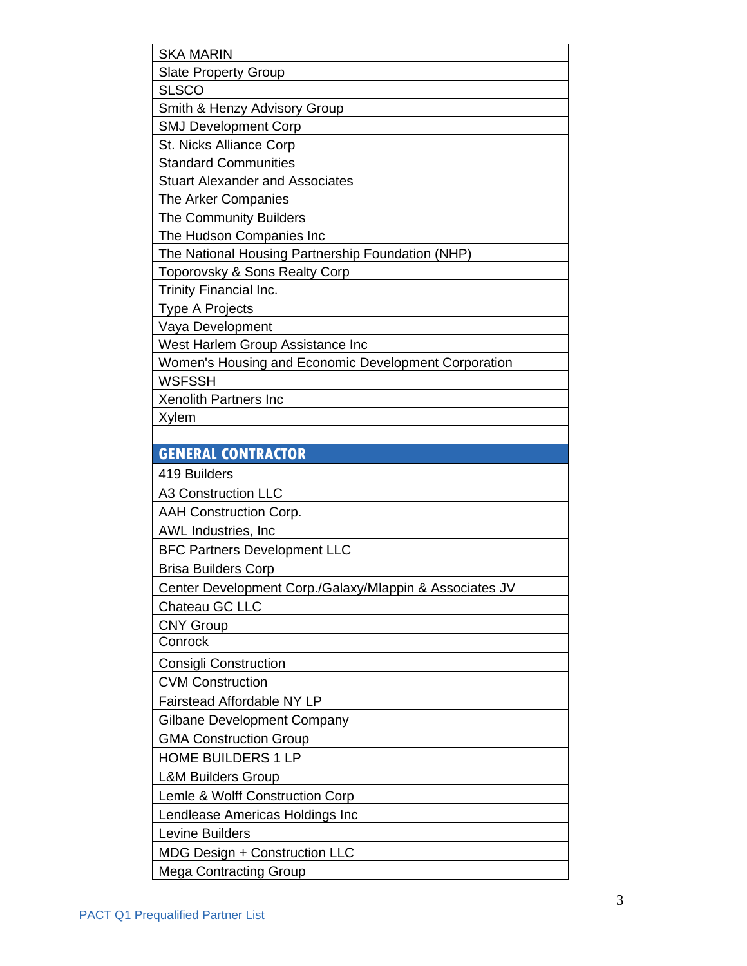| <b>SKA MARIN</b>                                        |
|---------------------------------------------------------|
| <b>Slate Property Group</b>                             |
| <b>SLSCO</b>                                            |
| Smith & Henzy Advisory Group                            |
| <b>SMJ Development Corp</b>                             |
| St. Nicks Alliance Corp                                 |
| <b>Standard Communities</b>                             |
| <b>Stuart Alexander and Associates</b>                  |
| The Arker Companies                                     |
| The Community Builders                                  |
| The Hudson Companies Inc                                |
| The National Housing Partnership Foundation (NHP)       |
| Toporovsky & Sons Realty Corp                           |
| <b>Trinity Financial Inc.</b>                           |
| <b>Type A Projects</b>                                  |
| Vaya Development                                        |
| West Harlem Group Assistance Inc                        |
| Women's Housing and Economic Development Corporation    |
| WSFSSH                                                  |
| Xenolith Partners Inc                                   |
| Xylem                                                   |
|                                                         |
| <b>GENERAL CONTRACTOR</b>                               |
|                                                         |
| 419 Builders                                            |
| <b>A3 Construction LLC</b>                              |
| <b>AAH Construction Corp.</b>                           |
| AWL Industries, Inc                                     |
| <b>BFC Partners Development LLC</b>                     |
| <b>Brisa Builders Corp</b>                              |
| Center Development Corp./Galaxy/Mlappin & Associates JV |
| Chateau GC LLC                                          |
| <b>CNY Group</b>                                        |
| Conrock                                                 |
| <b>Consigli Construction</b>                            |
| <b>CVM Construction</b>                                 |
| <b>Fairstead Affordable NY LP</b>                       |
| <b>Gilbane Development Company</b>                      |
| <b>GMA Construction Group</b>                           |
| <b>HOME BUILDERS 1 LP</b>                               |
| <b>L&amp;M Builders Group</b>                           |
| Lemle & Wolff Construction Corp                         |
| Lendlease Americas Holdings Inc                         |
| Levine Builders                                         |
| MDG Design + Construction LLC                           |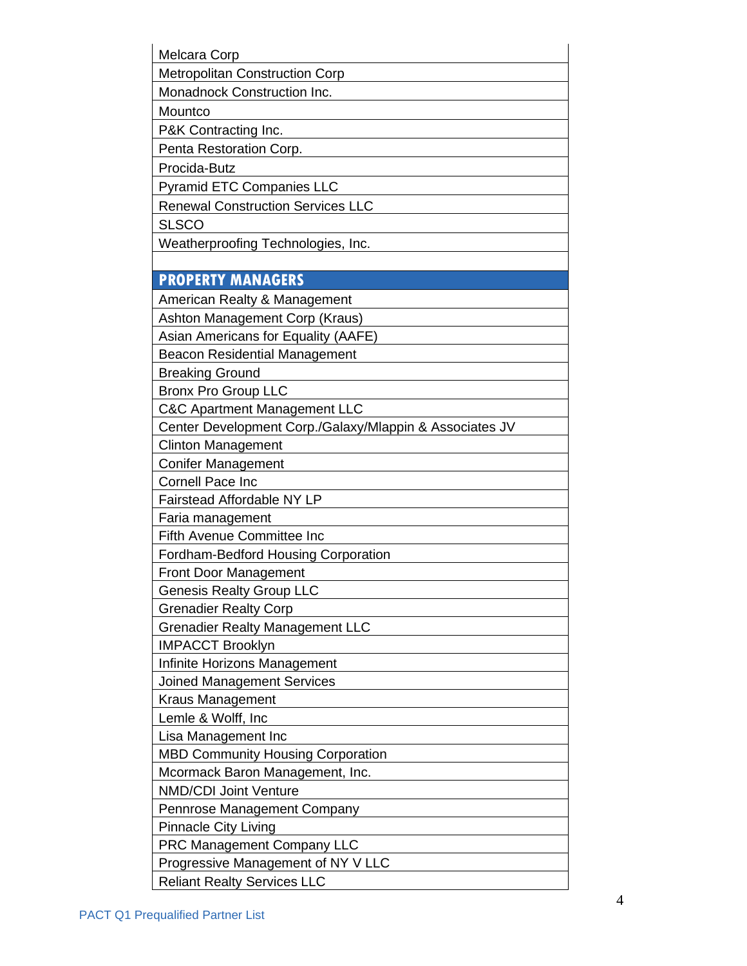| Melcara Corp                                            |
|---------------------------------------------------------|
| <b>Metropolitan Construction Corp</b>                   |
| Monadnock Construction Inc.                             |
| Mountco                                                 |
| P&K Contracting Inc.                                    |
| Penta Restoration Corp.                                 |
| Procida-Butz                                            |
| <b>Pyramid ETC Companies LLC</b>                        |
| <b>Renewal Construction Services LLC</b>                |
| <b>SLSCO</b>                                            |
| Weatherproofing Technologies, Inc.                      |
|                                                         |
| <b>PROPERTY MANAGERS</b>                                |
| American Realty & Management                            |
| Ashton Management Corp (Kraus)                          |
| Asian Americans for Equality (AAFE)                     |
| <b>Beacon Residential Management</b>                    |
| <b>Breaking Ground</b>                                  |
| <b>Bronx Pro Group LLC</b>                              |
| <b>C&amp;C Apartment Management LLC</b>                 |
| Center Development Corp./Galaxy/Mlappin & Associates JV |
| <b>Clinton Management</b>                               |
| <b>Conifer Management</b>                               |
| <b>Cornell Pace Inc</b>                                 |
| <b>Fairstead Affordable NY LP</b>                       |
| Faria management                                        |
| <b>Fifth Avenue Committee Inc</b>                       |
| Fordham-Bedford Housing Corporation                     |
| Front Door Management                                   |
| <b>Genesis Realty Group LLC</b>                         |
| <b>Grenadier Realty Corp</b>                            |
| <b>Grenadier Realty Management LLC</b>                  |
| <b>IMPACCT Brooklyn</b>                                 |
| Infinite Horizons Management                            |
| <b>Joined Management Services</b>                       |
| Kraus Management                                        |
| Lemle & Wolff, Inc                                      |
| Lisa Management Inc                                     |
| <b>MBD Community Housing Corporation</b>                |
| Mcormack Baron Management, Inc.                         |
| <b>NMD/CDI Joint Venture</b>                            |
| Pennrose Management Company                             |
| <b>Pinnacle City Living</b>                             |
| <b>PRC Management Company LLC</b>                       |
| Progressive Management of NY V LLC                      |
| <b>Reliant Realty Services LLC</b>                      |